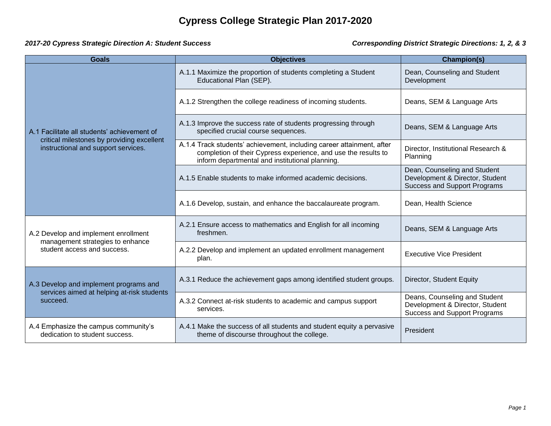## *2017-20 Cypress Strategic Direction A: Student Success Corresponding District Strategic Directions: 1, 2, & 3*

| <b>Goals</b>                                                                                                                     | <b>Objectives</b>                                                                                                                                                                          | Champion(s)                                                                                             |
|----------------------------------------------------------------------------------------------------------------------------------|--------------------------------------------------------------------------------------------------------------------------------------------------------------------------------------------|---------------------------------------------------------------------------------------------------------|
| A.1 Facilitate all students' achievement of<br>critical milestones by providing excellent<br>instructional and support services. | A.1.1 Maximize the proportion of students completing a Student<br>Educational Plan (SEP).                                                                                                  | Dean, Counseling and Student<br>Development                                                             |
|                                                                                                                                  | A.1.2 Strengthen the college readiness of incoming students.                                                                                                                               | Deans, SEM & Language Arts                                                                              |
|                                                                                                                                  | A.1.3 Improve the success rate of students progressing through<br>specified crucial course sequences.                                                                                      | Deans, SEM & Language Arts                                                                              |
|                                                                                                                                  | A.1.4 Track students' achievement, including career attainment, after<br>completion of their Cypress experience, and use the results to<br>inform departmental and institutional planning. | Director, Institutional Research &<br>Planning                                                          |
|                                                                                                                                  | A.1.5 Enable students to make informed academic decisions.                                                                                                                                 | Dean, Counseling and Student<br>Development & Director, Student<br><b>Success and Support Programs</b>  |
|                                                                                                                                  | A.1.6 Develop, sustain, and enhance the baccalaureate program.                                                                                                                             | Dean, Health Science                                                                                    |
| A.2 Develop and implement enrollment<br>management strategies to enhance<br>student access and success.                          | A.2.1 Ensure access to mathematics and English for all incoming<br>freshmen.                                                                                                               | Deans, SEM & Language Arts                                                                              |
|                                                                                                                                  | A.2.2 Develop and implement an updated enrollment management<br>plan.                                                                                                                      | <b>Executive Vice President</b>                                                                         |
| A.3 Develop and implement programs and<br>services aimed at helping at-risk students<br>succeed.                                 | A.3.1 Reduce the achievement gaps among identified student groups.                                                                                                                         | Director, Student Equity                                                                                |
|                                                                                                                                  | A.3.2 Connect at-risk students to academic and campus support<br>services.                                                                                                                 | Deans, Counseling and Student<br>Development & Director, Student<br><b>Success and Support Programs</b> |
| A.4 Emphasize the campus community's<br>dedication to student success.                                                           | A.4.1 Make the success of all students and student equity a pervasive<br>theme of discourse throughout the college.                                                                        | President                                                                                               |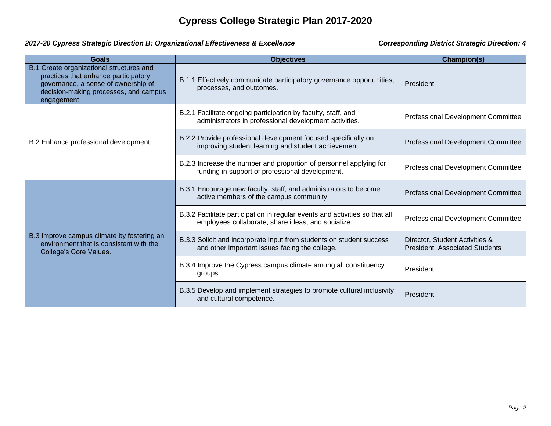## *2017-20 Cypress Strategic Direction B: Organizational Effectiveness & Excellence Corresponding District Strategic Direction: 4*

| <b>Goals</b>                                                                                                                                                                    | <b>Objectives</b>                                                                                                                 | <b>Champion(s)</b>                                               |
|---------------------------------------------------------------------------------------------------------------------------------------------------------------------------------|-----------------------------------------------------------------------------------------------------------------------------------|------------------------------------------------------------------|
| B.1 Create organizational structures and<br>practices that enhance participatory<br>governance, a sense of ownership of<br>decision-making processes, and campus<br>engagement. | Effectively communicate participatory governance opportunities,<br><b>B.1.1</b><br>processes, and outcomes.                       | President                                                        |
| B.2 Enhance professional development.                                                                                                                                           | B.2.1 Facilitate ongoing participation by faculty, staff, and<br>administrators in professional development activities.           | <b>Professional Development Committee</b>                        |
|                                                                                                                                                                                 | B.2.2 Provide professional development focused specifically on<br>improving student learning and student achievement.             | <b>Professional Development Committee</b>                        |
|                                                                                                                                                                                 | B.2.3 Increase the number and proportion of personnel applying for<br>funding in support of professional development.             | <b>Professional Development Committee</b>                        |
| B.3 Improve campus climate by fostering an<br>environment that is consistent with the<br>College's Core Values.                                                                 | B.3.1 Encourage new faculty, staff, and administrators to become<br>active members of the campus community.                       | <b>Professional Development Committee</b>                        |
|                                                                                                                                                                                 | B.3.2 Facilitate participation in regular events and activities so that all<br>employees collaborate, share ideas, and socialize. | <b>Professional Development Committee</b>                        |
|                                                                                                                                                                                 | B.3.3 Solicit and incorporate input from students on student success<br>and other important issues facing the college.            | Director, Student Activities &<br>President, Associated Students |
|                                                                                                                                                                                 | B.3.4 Improve the Cypress campus climate among all constituency<br>groups.                                                        | President                                                        |
|                                                                                                                                                                                 | B.3.5 Develop and implement strategies to promote cultural inclusivity<br>and cultural competence.                                | President                                                        |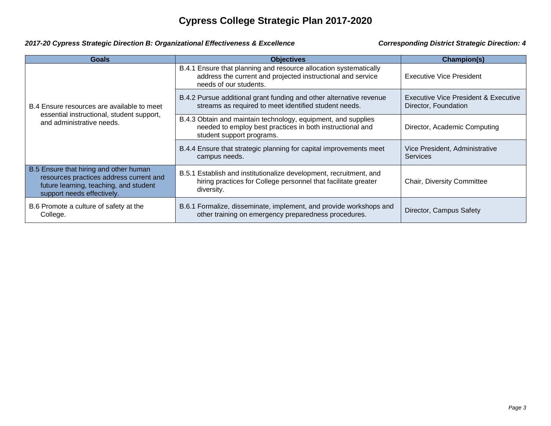### *2017-20 Cypress Strategic Direction B: Organizational Effectiveness & Excellence Corresponding District Strategic Direction: 4*

| <b>Goals</b>                                                                                                                                              | <b>Objectives</b>                                                                                                                                          | Champion(s)                                                  |
|-----------------------------------------------------------------------------------------------------------------------------------------------------------|------------------------------------------------------------------------------------------------------------------------------------------------------------|--------------------------------------------------------------|
| B.4 Ensure resources are available to meet<br>essential instructional, student support,<br>and administrative needs.                                      | B.4.1 Ensure that planning and resource allocation systematically<br>address the current and projected instructional and service<br>needs of our students. | Executive Vice President                                     |
|                                                                                                                                                           | B.4.2 Pursue additional grant funding and other alternative revenue<br>streams as required to meet identified student needs.                               | Executive Vice President & Executive<br>Director, Foundation |
|                                                                                                                                                           | B.4.3 Obtain and maintain technology, equipment, and supplies<br>needed to employ best practices in both instructional and<br>student support programs.    | Director, Academic Computing                                 |
|                                                                                                                                                           | B.4.4 Ensure that strategic planning for capital improvements meet<br>campus needs.                                                                        | Vice President, Administrative<br><b>Services</b>            |
| B.5 Ensure that hiring and other human<br>resources practices address current and<br>future learning, teaching, and student<br>support needs effectively. | B.5.1 Establish and institutionalize development, recruitment, and<br>hiring practices for College personnel that facilitate greater<br>diversity.         | <b>Chair, Diversity Committee</b>                            |
| B.6 Promote a culture of safety at the<br>College.                                                                                                        | B.6.1 Formalize, disseminate, implement, and provide workshops and<br>other training on emergency preparedness procedures.                                 | Director, Campus Safety                                      |